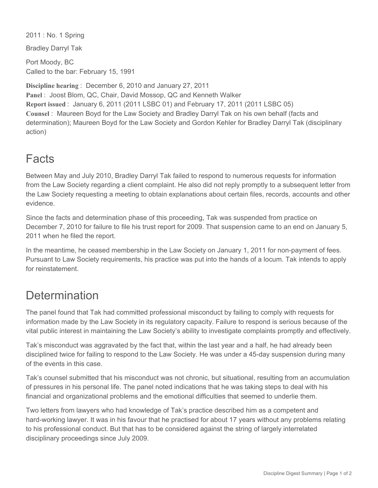2011 : No. 1 Spring

Bradley Darryl Tak

Port Moody, BC Called to the bar: February 15, 1991

**Discipline hearing** : December 6, 2010 and January 27, 2011 Panel : Joost Blom, QC, Chair, David Mossop, QC and Kenneth Walker **Report issued** : January 6, 2011 (2011 LSBC 01) and February 17, 2011 (2011 LSBC 05) **Counsel** : Maureen Boyd for the Law Society and Bradley Darryl Tak on his own behalf (facts and determination); Maureen Boyd for the Law Society and Gordon Kehler for Bradley Darryl Tak (disciplinary action)

## Facts

Between May and July 2010, Bradley Darryl Tak failed to respond to numerous requests for information from the Law Society regarding a client complaint. He also did not reply promptly to a subsequent letter from the Law Society requesting a meeting to obtain explanations about certain files, records, accounts and other evidence.

Since the facts and determination phase of this proceeding, Tak was suspended from practice on December 7, 2010 for failure to file his trust report for 2009. That suspension came to an end on January 5, 2011 when he filed the report.

In the meantime, he ceased membership in the Law Society on January 1, 2011 for non-payment of fees. Pursuant to Law Society requirements, his practice was put into the hands of a locum. Tak intends to apply for reinstatement.

## **Determination**

The panel found that Tak had committed professional misconduct by failing to comply with requests for information made by the Law Society in its regulatory capacity. Failure to respond is serious because of the vital public interest in maintaining the Law Society's ability to investigate complaints promptly and effectively.

Tak's misconduct was aggravated by the fact that, within the last year and a half, he had already been disciplined twice for failing to respond to the Law Society. He was under a 45-day suspension during many of the events in this case.

Tak's counsel submitted that his misconduct was not chronic, but situational, resulting from an accumulation of pressures in his personal life. The panel noted indications that he was taking steps to deal with his financial and organizational problems and the emotional difficulties that seemed to underlie them.

Two letters from lawyers who had knowledge of Tak's practice described him as a competent and hard-working lawyer. It was in his favour that he practised for about 17 years without any problems relating to his professional conduct. But that has to be considered against the string of largely interrelated disciplinary proceedings since July 2009.